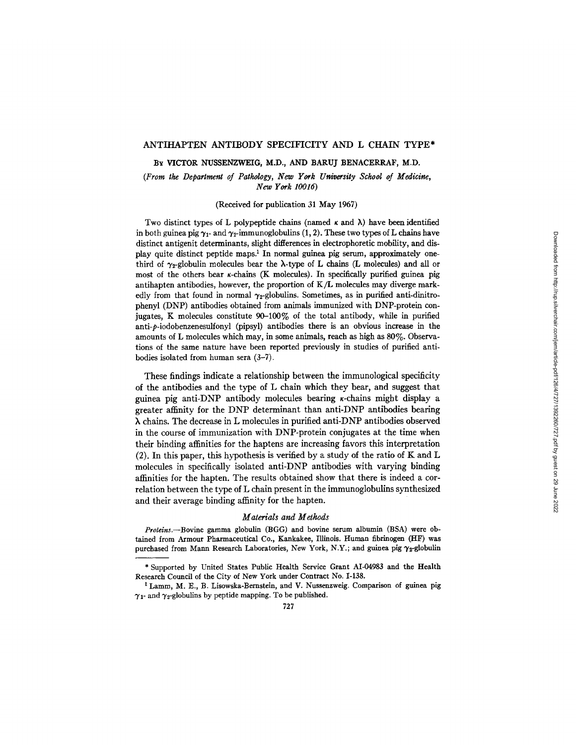## ANTIHAPTEN ANTIBODY SPECIFICITY AND L CHAIN TYPE\*

BY VICTOR NUSSENZWEIG, M.D., AND BARUJ BENACERRAF, M.D.

*(From the Department of Pathology, New York University School of Medicine, New York 10016)* 

(Received for publication 31 May 1967)

Two distinct types of L polypeptide chains (named  $\kappa$  and  $\lambda$ ) have been identified in both guinea pig  $\gamma_1$ - and  $\gamma_2$ -immunoglobulins (1, 2). These two types of L chains have distinct antigenit determinants, slight differences in electrophoretic mobility, and display quite distinct peptide maps. 1 In normal guinea pig serum, approximately onethird of  $\gamma_2$ -globulin molecules bear the  $\lambda$ -type of L chains (L molecules) and all or most of the others bear  $\kappa$ -chains (K molecules). In specifically purified guinea pig antihapten antibodies, however, the proportion of K/L molecules may diverge markedly from that found in normal  $\gamma_2$ -globulins. Sometimes, as in purified anti-dinitrophenyl (DNP) antibodies obtained from animals immunized with DNP-protein conjugates, K molecules constitute  $90-100\%$  of the total antibody, while in purified anti-p-iodobenzenesulfonyl (pipsyl) antibodies there is an obvious increase in the amounts of L molecules which may, in some animals, reach as high as 80%. Observations of the same nature have been reported previously in studies of purified antibodies isolated from human sera (3-7).

These findings indicate a relationship between the immunological specificity of the antibodies and the type of L chain which they bear, and suggest that guinea pig anti-DNP antibody molecules bearing  $\kappa$ -chains might display a greater affinity for the DNP determinant than anti-DNP antibodies bearing X chains. The decrease in L molecules in purified anti-DNP antibodies observed in the course of immunization with DNP-protein conjugates at the time when their binding affinities for the haptens are increasing favors this interpretation (2). In this paper, this hypothesis is verified by a study of the ratio of K and L molecules in specifically isolated anti-DNP antibodies with varying binding affinities for the hapten. The results obtained show that there is indeed a correlation between the type of L chain present in the immunoglobulins synthesized and their average binding affinity for the hapten.

## *Materials and Methods*

*Proteins.--Bovine* gamma globulin (BGG) and bovine serum albumin (BSA) were obtained from Armour Pharmaceutical Co., Kankakee, Illinois. Human fibrinogen (HF) was purchased from Mann Research Laboratories, New York, N.Y.; and guinea pig  $\gamma_2$ -globulin

<sup>\*</sup> Supported by United States Public Health Service Grant AI-04983 and the Health Research Council of the City of New York under Contract No. 1-138.

<sup>&</sup>lt;sup>1</sup> Lamm, M. E., B. Lisowska-Bernstein, and V. Nussenzweig. Comparison of guinea pig  $\gamma_1$ - and  $\gamma_2$ -globulins by peptide mapping. To be published.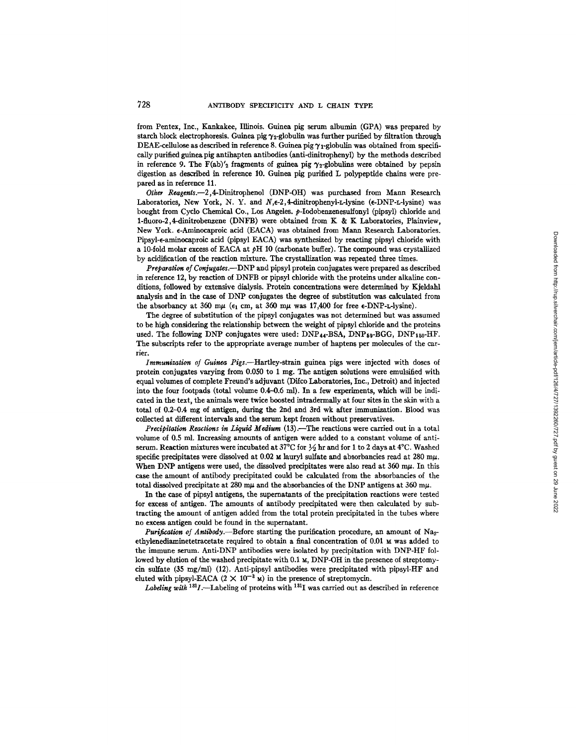from Pentex, Inc., Kankakee, Illinois. Guinea pig serum albumin (GPA) was prepared by starch block electrophoresis. Guinea pig  $\gamma_2$ -globulin was further purified by filtration through DEAE-cellulose as described in reference 8. Guinea pig  $\gamma_1$ -globulin was obtained from specifically purified guinea pig antihapten antibodies (anti-dinitrophenyl) by the methods described in reference 9. The F(ab)'<sub>2</sub> fragments of guinea pig  $\gamma_2$ -globulins were obtained by pepsin digestion as described in reference 10. Guinea pig purified L polypeptide chains were prepared as in reference 11.

*Other Reagents.--2,4-Dinitrophenol* (DNP-OH) was purchased from Mann Research Laboratories, New York, N. Y. and  $N_{\text{e}}=2.4$ -dinitrophenyl-L-lysine ( $\epsilon$ -DNP-L-lysine) was bought from Cyclo Chemical Co., Los Angeles. p-Iodobenzenesulfonyl (pipsyl) chloride and 1-fluoro-2,4~dinitrobenzene (DNFB) were obtained from K & K Laboratories, Plainview, New York. ¢-Aminocaproic acid (EACA) was obtained from Mann Research Laboratories. Pipsyl- $\epsilon$ -aminocaproic acid (pipsyl EACA) was synthesized by reacting pipsyl chloride with a 10-fold molar excess of EACA at  $\phi$ H 10 (carbonate buffer). The compound was crystallized by acidification of the reaction mixture. The crystallization was repeated three times.

Preparation of Conjugates.--DNP and pipsyl protein conjugates were prepared as described in reference 12, by reaction of DNFB or pipsyl chloride with the proteins under alkaline conditions, followed by extensive dialysis. Protein concentrations were determined by Kjeldahl analysis and in the case of DNP conjugates the degree of substitution was calculated from the absorbancy at 360 m $\mu$  ( $\epsilon_1$  cm, at 360 m $\mu$  was 17,400 for free  $\epsilon$ -DNP-L-lysine).

The degree of substitution of the pipsyl conjugates was not determined but was assumed to be high considering the relationship between the weight of pipsyl chloride and the proteins used. The following DNP conjugates were used:  $DNP_{44}$ -BSA,  $DNP_{59}$ -BGG,  $DNP_{150}$ -HF. The subscripts refer to the appropriate average number of haptens per molecules of the carrier.

*Immunization of Guinea Pigs.--Hartley-strain* guinea pigs were injected with doses of protein conjugates varying from 0.050 to 1 mg. The antigen solutions were emulsified with equal volumes of complete Freund's adjuvant (Difco Laboratories, Inc., Detroit) and injected into the four footpads (total volume  $0.4-0.6$  ml). In a few experiments, which will be indicated in the text, the animals were twice boosted intradermally at four sites in the skin with a total of 0.2-0.4 mg of antigen, during the 2nd and 3rd wk after immunization. Blood was collected at different intervals and the serum kept frozen without preservatives.

*Precipitation Reactions in Liquid Medium* (13).-The reactions were carried out in a total volume of 0.5 ml. Increasing amounts of antigen were added to a constant volume of antiserum. Reaction mixtures were incubated at 37°C for  $\frac{1}{2}$  hr and for 1 to 2 days at 4°C. Washed specific precipitates were dissolved at 0.02  $\mu$  lauryl sulfate and absorbancies read at 280 m $\mu$ . When DNP antigens were used, the dissolved precipitates were also read at  $360 \text{ m}\mu$ . In this case the amount of antibody precipitated could be calculated from the absorbancies of the total dissolved precipitate at 280  $\mu$  and the absorbancies of the DNP antigens at 360 m $\mu$ .

In the case of pipsyl antigens, the supematants of the precipitation reactions were tested for excess of antigen. The amounts of antibody precipitated were then calculated by subtracting the amount of antigen added from the total protein precipitated in the tubes where no excess antigen could be found in the supernatant.

*Purification of Antibody.*—Before starting the purification procedure, an amount of Na<sub>2</sub>ethylenediaminetetracetate required to obtain a final concentration of 0.01  $\mu$  was added to the immune serum. Anti-DNP antibodies were isolated by precipitation with DNP-HF followed by elution of the washed precipitate with 0.1  $\texttt{M}$ , DNP-OH in the presence of streptomycin sulfate (35 mg/ml) (12). Anti-pipsyl antibodies were precipitated with pipsyl-HF and eluted with pipsyl-EACA  $(2 \times 10^{-3} \text{ m})$  in the presence of streptomycin.

Labeling with <sup>131</sup>I.--Labeling of proteins with <sup>131</sup>I was carried out as described in reference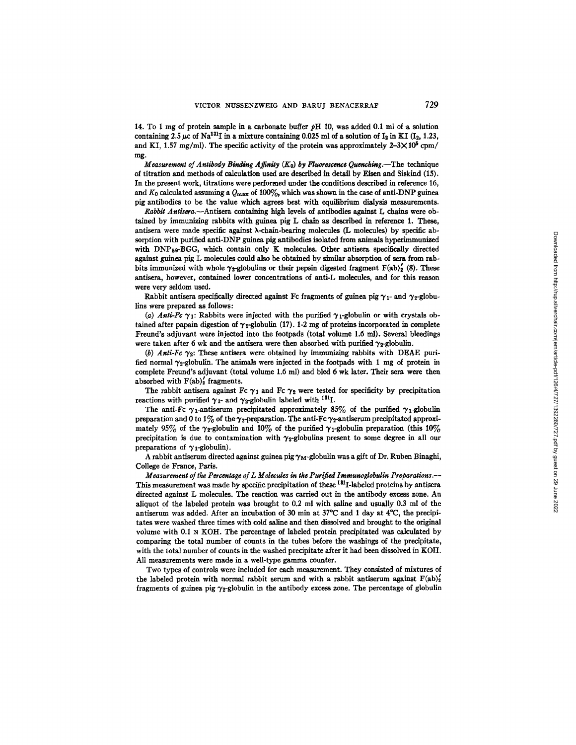14. To 1 mg of protein sample in a carbonate buffer  $\beta$ H 10, was added 0.1 ml of a solution containing 2.5  $\mu$ c of Na<sup>131</sup>I in a mixture containing 0.025 ml of a solution of I<sub>2</sub> in KI (I<sub>2</sub>, 1.23, and KI, 1.57 mg/ml). The specific activity of the protein was approximately  $2-3\times10^5$  cpm/ mg.

*Measurement of Antibody Binding Affinity*  $(K_0)$  by Fluorescence Ouenching.—The technique of titration and methods of calculation used are described in detail by Eisen and Siskind (15). In the present work, titrations were performed under the conditions described in reference 16, and  $K_0$  calculated assuming a  $Q_{\text{max}}$  of 100%, which was shown in the case of anti-DNP guinea pig antibodies to be the value which agrees best with equilibrium dialysis measurements.

*Rabbit Antisera.--Antlsera* containing high levels of antibodies against L chains were obtained by immunizing rabbits with guinea pig L chain as described in reference 1. These, antisera were made specific against X-chain-bearing molecules (L molecules) by specific absorption with purified anti-DNP guinea pig antibodies isolated from animals hyperimmunized with DNP59-BGG, which contain only K molecules. Other antisera specifically directed against guinea pig L molecules could also be obtained by similar absorption of sera from rabbits immunized with whole  $\gamma_{\hat{x}}$ -globulins or their pepsin digested fragment F(ab)<sub>2</sub> (8). These antisera, however, contained lower concentrations of anti-L molecules, and for this reason were very seldom used.

Rabbit antisera specifically directed against Fc fragments of guinea pig  $\gamma_1$ - and  $\gamma_2$ -globulins were prepared as follows:

(a) Anti-Fc  $\gamma_1$ : Rabbits were injected with the purified  $\gamma_1$ -globulin or with crystals obtained after papain digestion of  $\gamma_1$ -globulin (17). 1-2 mg of proteins incorporated in complete Freund's adjuvant were injected into the footpads (total volume 1.6 ml). Several bleedings were taken after 6 wk and the antisera were then absorbed with purified  $\gamma_2$ -globulin.

(b) Anti-Fc  $\gamma_2$ : These antisera were obtained by immunizing rabbits with DEAE purified normal  $\gamma_2$ -globulin. The animals were injected in the footpads with 1 mg of protein in complete Freund's adjuvant (total volume 1.6 ml) and bled 6 wk later. Their sera were then absorbed with  $F(ab)_2$  fragments.

The rabbit antisera against Fc  $\gamma_1$  and Fc  $\gamma_2$  were tested for specificity by precipitation reactions with purified  $\gamma_1$ - and  $\gamma_2$ -globulin labeled with <sup>181</sup>I.

The anti-Fc  $\gamma_1$ -antiserum precipitated approximately 85% of the purified  $\gamma_1$ -globulin preparation and 0 to 1% of the  $\gamma_2$ -preparation. The anti-Fc  $\gamma_2$ -antiserum precipitated approximately 95% of the  $\gamma_2$ -globulin and 10% of the purified  $\gamma_1$ -globulin preparation (this 10%) precipitation is due to contamination with  $\gamma_2$ -globulins present to some degree in all our preparations of  $\gamma_1$ -globulin).

A rabbit antiserum directed against guinea pig  $\gamma_M$ -globulin was a gift of Dr. Ruben Binaghi, College de France, Paris.

*Measuremen~ of the Percentage of L Molecules in ths Purified Immunoglobulin Preparalions.--*  This measurement was made by specific precipitation of these  $1^{31}I$ -labeled proteins by antisera directed against L molecules. The reaction was carried out in the antibody excess zone. An aliquot of the labeled protein was brought to 0.2 ml with saline and usually 0.3 ml of the antiserum was added. After an incubation of 30 min at  $37^{\circ}$ C and 1 day at  $4^{\circ}$ C, the precipitates were washed three times with cold saline and then dissolved and brought to the original volume with  $0.1 \text{ N KOH}$ . The percentage of labeled protein precipitated was calculated by comparing the total number of counts in the tubes before the washings of the precipitate, with the total number of counts in the washed precipitate after it had been dissolved in KOH. All measurements were made in a well-type gamma counter.

Two types of controls were included for each measurement. They consisted of mixtures of the labeled protein with normal rabbit serum and with a rabbit antiserum against  $F(ab)'_2$ fragments of guinea pig  $\gamma_2$ -globulin in the antibody excess zone. The percentage of globulin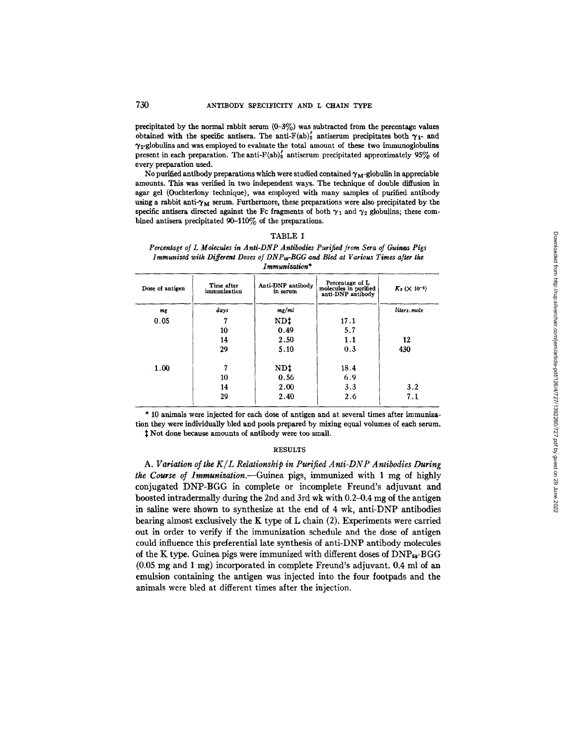precipitated by the normal rabbit serum  $(0-3\%)$  was subtracted from the percentage values obtained with the specific antisera. The anti-F(ab)<sup>2</sup> antiserum precipitates both  $\gamma_1$ - and  $\gamma_2$ -globulins and was employed to evaluate the total amount of these two immunoglobulins present in each preparation. The anti-F(ab) $'_{2}$  antiserum precipitated approximately 95% of every preparation used.

No purified antibody preparations which were studied contained  $\gamma_M$ -globulin in appreciable amounts. This was verified in two independent ways. The technique of double diffusion in agar gel (Ouchterlony technique), was employed with many samples of purified antibody using a rabbit anti- $\gamma_M$  serum. Furthermore, these preparations were also precipitated by the specific antisera directed against the Fc fragments of both  $\gamma_1$  and  $\gamma_2$  globulins; these combined antisera precipitated 90-110% of the preparations.

| <b>LABLE</b> |  |
|--------------|--|
|--------------|--|

*Percentage of L Molecules in Anti-DNP Antibodies Purified from Sera of Guinea Pigs Immunized with Different Doses of DNP<sub>b9</sub>-BGG and Bled at Various Times after the Immunization\** 

| Dose of antigen | Time after<br>immunization | Anti-DNP antibody<br>in serum | Percentage of L<br>molecules in purified<br>anti-DNP antibody | $K_0$ ( $\times$ 10 <sup>-5</sup> ) |
|-----------------|----------------------------|-------------------------------|---------------------------------------------------------------|-------------------------------------|
| mg              | days                       | mg/ml                         |                                                               | liters.mole                         |
| 0.05            | 7                          | ND‡                           | 17.1                                                          |                                     |
|                 | 10                         | 0.49                          | 5.7                                                           |                                     |
|                 | 14                         | 2.50                          | 1.1                                                           | 12                                  |
|                 | 29                         | 5.10                          | 0.3                                                           | 430                                 |
| 1.00            | 7                          | ND‡                           | 18.4                                                          |                                     |
|                 | 10                         | 0.56                          | 6.9                                                           |                                     |
|                 | 14                         | 2.00                          | 3.3                                                           | 3.2                                 |
|                 | 29                         | 2.40                          | 2.6                                                           | 7.1                                 |

\* 10 animals were injected for each dose of antigen and at several times after immunization they were individually bled and pools prepared by mixing equal volumes of each serum. Not done because amounts of antibody were too small.

# **RESULTS**

A. Variation of the K/L Relationship in Purified Anti-DNP Antibodies During *the Course of Immunization.--Guinea* pigs, immunized with 1 mg of highly conjugated DNP-BGG in complete or incomplete Freund's adjuvant and boosted intradermaUy during the 2nd and 3rd wk with 0.2-0.4 mg of the antigen in saline were shown to synthesize at the end of 4 wk, anti-DNP antibodies bearing almost exclusively the K type of L chain  $(2)$ . Experiments were carried out in order to verify if the immunization schedule and the dose of antigen could influence this preferential late synthesis of anti-DNP antibody molecules of the K type. Guinea pigs were immunized with different doses of  $\text{DNP}_{59}$ -BGG (0.05 mg and 1 mg) incorporated in complete Freund's adjuvant. 0.4 ml of an emulsion containing the antigen was injected into the four footpads and the animals were bled at different times after the injection.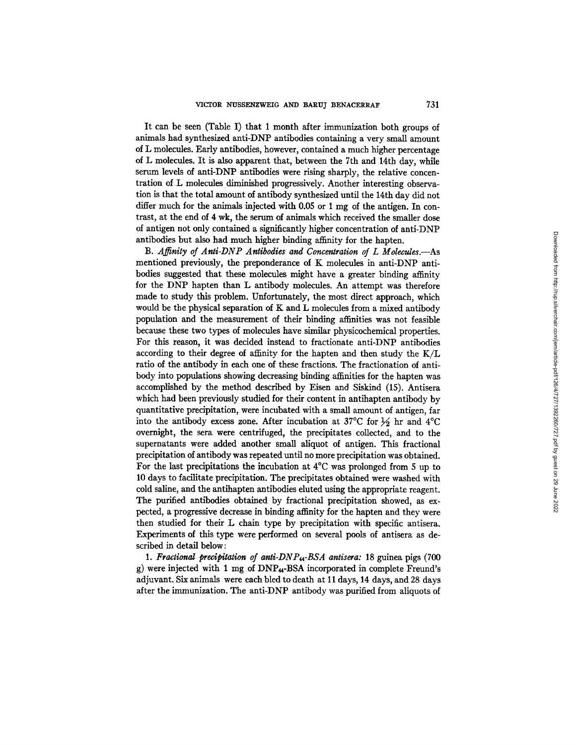It can be seen (Table I) that 1 month after immunization both groups of animals had synthesized anti-DNP antibodies containing a very small amount of L molecules. Early antibodies, however, contained a much higher percentage of L molecules. It is also apparent that, between the 7th and 14th day, while serum levels of anti-DNP antibodies were rising sharply, the relative concentration of L molecules diminished progressively. Another interesting observation is that the total amount of antibody synthesized until the 14th day did not differ much for the animals injected with 0.05 or 1 mg of the antigen. In contrast, at the end of 4 wk, the serum of animals which received the smaller dose of antigen not only contained a significantly higher concentration of anti-DNP antibodies but also had much higher binding affinity for the hapten.

B. Affinity of Anti-DNP Antibodies and Concentration of L Molecules.—As mentioned previously, the preponderance of K molecules in anti-DNP antibodies suggested that these molecules might have a greater binding affinity for the DNP hapten than L antibody molecules. An attempt was therefore made to study this problem. Unfortunately, the most direct approach, which would be the physical separation of K and L molecules from a mixed antibody population and the measurement of their binding affinities was not feasible because these two types of molecules have similar physicochemical properties. For this reason, it was decided instead to fractionate anti-DNP antibodies according to their degree of affinity for the hapten and then study the K/L ratio of the antibody in each one of these fractions. The fractionation of antibody into populations showing decreasing binding affinities for the hapten was accomplished by the method described by Eisen and Siskind (15). Antisera which had been previously studied for their content in antihapten antibody by quantitative precipitation, were incubated with a small amount of antigen, far into the antibody excess zone. After incubation at 37°C for  $\frac{1}{2}$  hr and 4°C overnigbt, the sera were centrifuged, the precipitates collected, and to the supernatants were added another small aliquot of antigen. This fractional precipitation of antibody was repeated until no more precipitation was obtained. For the last precipitations the incubation at 4°C was prolonged from 5 up to 10 days to facilitate precipitation. The precipitates obtained were washed with cold saline, and the antihapten antibodies eluted using the appropriate reagent. The purified antibodies obtained by fractional precipitation showed, as expected, a progressive decrease in binding affinity for the hapten and they were then studied for their L chain type by precipitation with specific antisera. Experiments of this type were performed on several pools of antisera as described in detail below:

1. Fractional precipitation of anti-DNP<sub>44</sub>-BSA antisera: 18 guinea pigs (700) g) were injected with 1 mg of DNP<sub>44</sub>-BSA incorporated in complete Freund's adjuvant. Six animals were each bled to death at 11 days, 14 days, and 28 days after the immunization. The anti-DNP antibody was purified from allquots of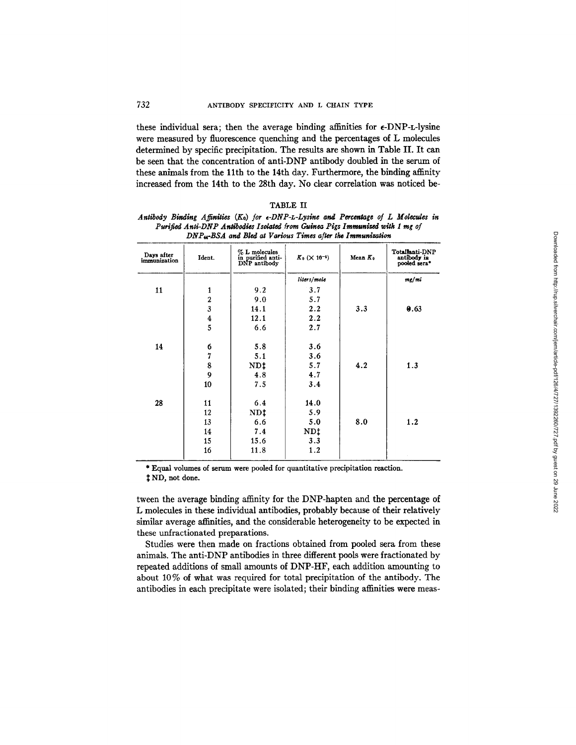these individual sera; then the average binding affinities for  $\epsilon$ -DNP-L-lysine were measured by fluorescence quenching and the percentages of L molecules determined by specific precipitation. The results are shown in Table II. It can be seen that the concentration of anti-DNP antibody doubled in the serum of these animals from the 11th to the 14th day. Furthermore, the binding affinity increased from the 14th to the 28th day. No clear correlation was noticed be-

| Antibody Binding Affinities $(K_0)$ for $\epsilon$ -DNP-L-Lysine and Percentage of L Molecules in |  |
|---------------------------------------------------------------------------------------------------|--|
| Purified Anti-DNP Antibodies Isolated from Guinea Pigs Immunized with 1 mg of                     |  |
| DNP <sub>u</sub> -BSA and Bled at Various Times after the Immunization                            |  |

| Days after<br>immunization | Ident.                  | $% L$ molecules<br>in purified anti-<br>DNP antibody | $K_0$ ( $\times$ 10 <sup>-5</sup> ) | Mean $K_0$ | Totallanti-DNP<br>antibody in<br>pooled sera* |
|----------------------------|-------------------------|------------------------------------------------------|-------------------------------------|------------|-----------------------------------------------|
|                            |                         |                                                      | liters/mole                         |            | mg/ml                                         |
| 11                         | 1                       | 9.2                                                  | 3.7                                 |            |                                               |
|                            | $\mathbf 2$             | 9.0                                                  | 5.7                                 |            |                                               |
|                            | $\overline{\mathbf{3}}$ | 14.1                                                 | 2.2                                 | 3.3        | 0.63                                          |
|                            | $\frac{4}{5}$           | 12.1                                                 | 2.2                                 |            |                                               |
|                            |                         | 6.6                                                  | 2.7                                 |            |                                               |
| 14                         | 6                       | 5.8                                                  | 3.6                                 |            |                                               |
|                            | $\overline{7}$          | 5.1                                                  | 3.6                                 |            |                                               |
|                            | 8                       | NDt                                                  | 5.7                                 | 4.2        | 1.3                                           |
|                            | 9                       | 4.8                                                  | 4.7                                 |            |                                               |
|                            | 10                      | 7.5                                                  | 3.4                                 |            |                                               |
| 28                         | 11                      | 6.4                                                  | 14.0                                |            |                                               |
|                            | 12                      | ND‡                                                  | 5.9                                 |            |                                               |
|                            | 13                      | 6.6                                                  | 5.0                                 | 8.0        | 1.2                                           |
|                            | 14                      | 7.4                                                  | ND‡                                 |            |                                               |
|                            | 15                      | 15.6                                                 | 3.3                                 |            |                                               |
|                            | 16                      | 11.8                                                 | 1.2                                 |            |                                               |

\* Equal volumes of serum were pooled for quantitative precipitation reaction.

;~ ND, **not done.** 

tween the average binding affinity for the DNP-hapten and the percentage of L molecules in these individual antibodies, probably because of their relatively similar average affinities, and the considerable heterogeneity to be expected in these unfractionated preparations.

Studies were then made on fractions obtained from pooled sera from these animals. The anti-DNP antibodies in three different pools were fractionated by repeated additions of small amounts of DNP-HF, each addition amounting to about 10 % of what was required for total precipitation of the antibody. The antibodies in each precipitate were isolated; their binding affinities were meas-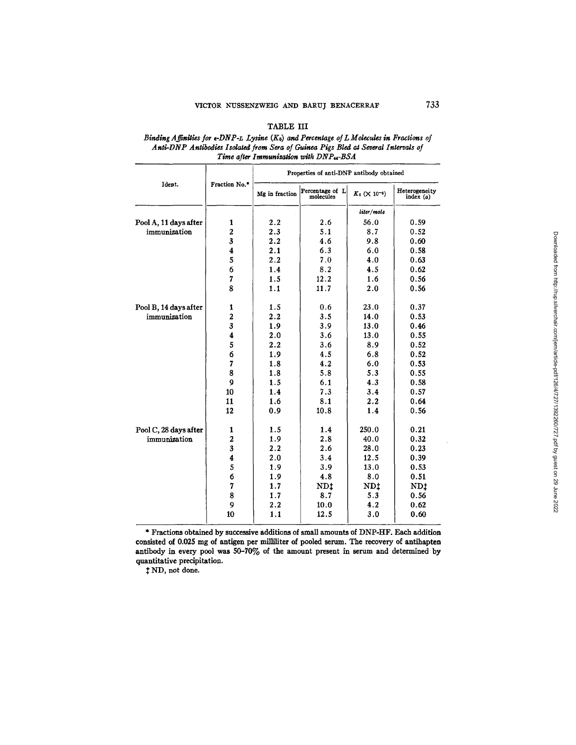## TABLE III

## *Binding Affinities for e-DNP-L Lysine*  $(K_0)$  *and Percentage of L Molecules in Fractions of Ang-DNP Antibodies Isolated from Sera of Guinea Pigs Bled og Several Internals of Time after Immunization with DNP<sub>44</sub>-BSA*

|                       |                         | Properties of anti-DNP antibody obtained |                              |                                     |                              |
|-----------------------|-------------------------|------------------------------------------|------------------------------|-------------------------------------|------------------------------|
| Ident.                | Fraction No.*           | Mg in fraction                           | Percentage of L<br>molecules | $K_0$ ( $\times$ 10 <sup>-5</sup> ) | Heterogeneity<br>index $(a)$ |
|                       |                         |                                          |                              | liter/mole                          |                              |
| Pool A, 11 days after | 1                       | 2.2                                      | 2.6                          | 56.0                                | 0.59                         |
| immunization          | $\overline{2}$          | 2.3                                      | 5.1                          | 8.7                                 | 0.52                         |
|                       | 3                       | 2.2                                      | 4.6                          | 9.8                                 | 0.60                         |
|                       | $\overline{\mathbf{4}}$ | 2.1                                      | 6.3                          | 6.0                                 | 0.58                         |
|                       | 5                       | 2.2                                      | 7.0                          | 4.0                                 | 0.63                         |
|                       | 6                       | 1.4                                      | 8.2                          | 4.5                                 | 0.62                         |
|                       | $\overline{7}$          | 1.5                                      | 12.2                         | 1.6                                 | 0.56                         |
|                       | 8                       | 1.1                                      | 11.7                         | 2.0                                 | 0.56                         |
| Pool B, 14 days after | 1                       | 1.5                                      | 0.6                          | 23.0                                | 0.37                         |
| immunization          | $\overline{2}$          | 2.2                                      | 3.5                          | 14.0                                | 0.53                         |
|                       | 3                       | 1.9                                      | 3.9                          | 13.0                                | 0.46                         |
|                       | $\overline{\mathbf{4}}$ | 2.0                                      | 3.6                          | 13.0                                | 0.55                         |
|                       | 5                       | 2.2                                      | 3.6                          | 8.9                                 | 0.52                         |
|                       | 6                       | 1.9                                      | 4.5                          | 6.8                                 | 0.52                         |
|                       | 7                       | 1.8                                      | 4.2                          | 6.0                                 | 0.53                         |
|                       | 8                       | 1.8                                      | 5.8                          | 5.3                                 | 0.55                         |
|                       | 9                       | 1.5                                      | 6.1                          | 4.3                                 | 0.58                         |
|                       | 10                      | 1.4                                      | 7.3                          | 3.4                                 | 0.57                         |
|                       | 11                      | 1.6                                      | 8.1                          | 2.2                                 | 0.64                         |
|                       | 12                      | 0.9                                      | 10.8                         | 1.4                                 | 0.56                         |
| Pool C, 28 days after | 1                       | 1.5                                      | 1.4                          | 250.0                               | 0.21                         |
| immunization          | $\overline{a}$          | 1.9                                      | 2.8                          | 40.0                                | 0.32                         |
|                       | 3                       | 2.2                                      | 2.6                          | 28.0                                | 0.23                         |
|                       | 4                       | 2.0                                      | 3.4                          | 12.5                                | 0.39                         |
|                       | 5                       | 1.9                                      | 3.9                          | 13.0                                | 0.53                         |
|                       | 6                       | 1.9                                      | 4.8                          | 8.0                                 | 0.51                         |
|                       | $\overline{7}$          | 1.7                                      | ND:                          | <b>NDt</b>                          | ND <sub>1</sub>              |
|                       | 8                       | 1.7                                      | 8.7                          | 5.3                                 | 0.56                         |
|                       | 9                       | 2.2                                      | 10.0                         | 4.2                                 | 0.62                         |
|                       | 10                      | 1.1                                      | 12.5                         | 3.0                                 | 0.60                         |
|                       |                         |                                          |                              |                                     |                              |

\* Fractions obtained by successive additions of small amounts of DNP-HF. Each addition consisted of 0.025 mg of antigen per milliliter of pooled serum. The recovery of antihapten antibody in every pool was  $50-70\%$  of the amount present in serum and determined by quantitative precipitation.

 $$1$  ND, not done.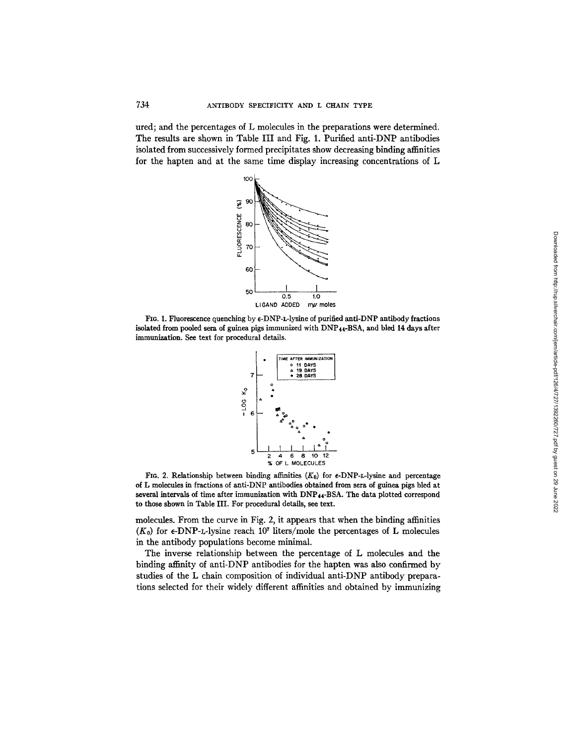ured; and the percentages of L molecules in the preparations were determined. The results are shown in Table III and Fig. 1. Purified anti-DNP antibodies isolated from successively formed precipitates show decreasing binding affinities for the hapten and at the same time display increasing concentrations of L



FIG. 1. Fluorescence quenching by  $\epsilon$ -DNP-L-lysine of purified anti-DNP antibody fractions isolated **from pooled sera** of guinea pigs immunized with DNP44-BSA, and bled 14 days after immunization. See text for procedural details.



FIG. 2. Relationship between binding affinities  $(K_0)$  for  $\epsilon$ -DNP-L-lysine and percentage of L molecules in fractions of anti-DNP antibodies obtained from sera of guinea pigs bled **at several** intervals of time after immunization with DNP44-BSA. The data plotted correspond to those shown in Table III. For procedural details, see text.

molecules. From the curve in Fig. 2, it appears that when the binding affinities  $(K_0)$  for  $\epsilon$ -DNP-L-lysine reach 10<sup>7</sup> liters/mole the percentages of L molecules in the antibody populations become minimal.

The inverse relationship between the percentage of L molecules and the binding affinity of anti-DNP antibodies for the hapten was also confirmed by studies of the L chain composition of individual anti-DNP antibody preparations selected for their widely different affinities and obtained by immunizing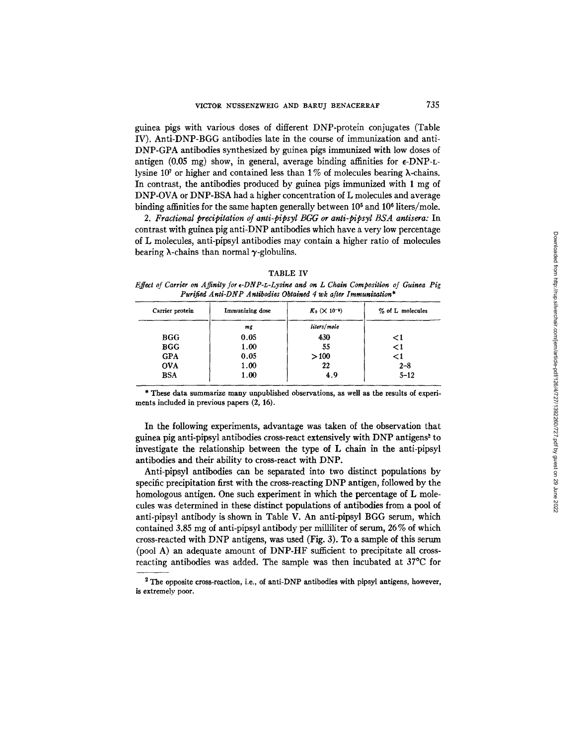guinea pigs with various doses of different DNP-protein conjugates (Table IV). Anti-DNP-BGG antibodies late in the course of immunization and anti-DNP-GPA antibodies synthesized by guinea pigs immunized with low doses of antigen (0.05 mg) show, in general, average binding affinities for  $\epsilon$ -DNP-Llysine 10<sup>7</sup> or higher and contained less than 1% of molecules bearing  $\lambda$ -chains. In contrast, the antibodies produced by guinea pigs immunized with 1 mg of DNP-OVA or DNP-BSA had a higher concentration of L molecules and average binding affinities for the same hapten generally between  $10<sup>5</sup>$  and  $10<sup>6</sup>$  liters/mole.

*2. Fractional precipitation of anti-pipsyl BGG or anti-pipsyl BSA antisera:* In contrast with guinea pig anti-DNP antibodies which have a very low percentage of L molecules, anti-pipsyl antibodies may contain a higher ratio of molecules bearing  $\lambda$ -chains than normal  $\gamma$ -globulins.

#### TABLE IV

*Effect of Carrier on Affinity for e-DNP-z-Lysine and on L Chain Composition of Guinea Pig Purified Anti-DNP Antibodies Obtained 4 wk after Immunization\** 

| Carrier protein | Immunizing dose | $K_0$ ( $\times$ 10 <sup>-6</sup> ) | % of L molecules |
|-----------------|-----------------|-------------------------------------|------------------|
|                 | mg              | liters/mole                         |                  |
| <b>BGG</b>      | 0.05            | 430                                 | $\leq$ 1         |
| <b>BGG</b>      | 1.00            | 55                                  | $\leq$ 1         |
| <b>GPA</b>      | 0.05            | >100                                | $\leq$ 1         |
| <b>OVA</b>      | 1.00            | 22                                  | $2 - 8$          |
| <b>BSA</b>      | 1.00            | 4.9                                 | $5 - 12$         |

\* These data summarize many unpublished observations, as well as the results of experiments included in previous papers (2, 16).

In the following experiments, advantage was taken of the observation that guinea pig anti-pipsyl antibodies cross-react extensively with DNP antigens<sup>2</sup> to investigate the relationship between the type of L chain in the anti-pipsyl antibodies and their ability to cross-react with DNP.

Anti-pipsyl antibodies can be separated into two distinct populations by specific precipitation first with the cross-reacting DNP antigen, followed by the homologous antigen. One such experiment in which the percentage of L molecules was determined in these distinct populations of antibodies from a pool of anti-pipsyl antibody is shown in Table V. An anti-pipsyl BGG serum, which contained 3.85 mg of anti-pipsyl antibody per milliliter of serum, 26 % of which cross-reacted with DNP antigens, was used (Fig. 3). To a sample of this serum (pool A) an adequate amount of DNP-HF sufficient to precipitate all crossreacting antibodies was added. The sample was then incubated at 37°C for

 $2$  The opposite cross-reaction, i.e., of anti-DNP antibodies with pipsyl antigens, however, **is** extremely poor.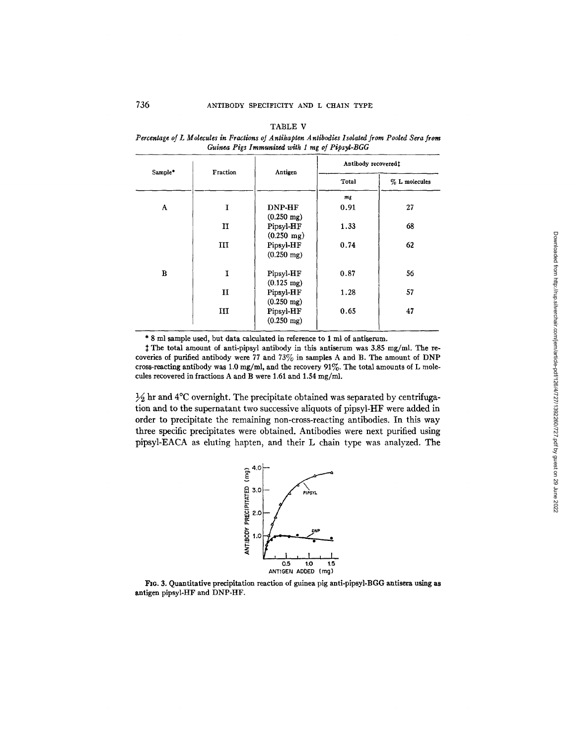| г<br>a.<br>н |  |
|--------------|--|
|--------------|--|

*Percentage of L Molecules in Fractions oJ Antihapten Antibodies Isolated from Pooled Sera from Guinea Pigs Immunized with 1 mg of Pipsyl-BGG* 

|         |          | Antibody recovered!  |       |                 |
|---------|----------|----------------------|-------|-----------------|
| Sample* | Fraction | Antigen              | Total | $% L$ molecules |
|         |          |                      | mg    |                 |
| A       | I        | DNP-HF               | 0.91  | 27              |
|         |          | $(0.250 \text{ mg})$ |       |                 |
|         | п        | Pipsyl-HF            | 1.33  | 68              |
|         |          | $(0.250 \text{ mg})$ |       |                 |
|         | III      | Pipsyl-HF            | 0.74  | 62              |
|         |          | $(0.250 \text{ mg})$ |       |                 |
| B       | I        | Pipsyl-HF            | 0.87  | 56              |
|         |          | $(0.125 \text{ mg})$ |       |                 |
|         | п        | Pipsyl-HF            | 1.28  | 57              |
|         |          | $(0.250 \text{ mg})$ |       |                 |
|         | Ш        | Pipsyl-HF            | 0.65  | 47              |
|         |          | $(0.250 \text{ mg})$ |       |                 |

\* 8 ml sample used, but data calculated in reference to 1 ml of antiserum.

:~ The total amount of anti-pipsyl antibody in this antiserum was 3.85 mg/ml. The recoveries of purified antibody were 77 and  $73\%$  in samples A and B. The amount of DNP cross-reacting antibody was 1.0 mg/ml, and the recovery 91%. The total amounts of L molecules recovered in fractions A and B were 1.61 and 1.54 mg/ml.

 $\frac{1}{2}$  hr and 4°C overnight. The precipitate obtained was separated by centrifugation and to the supernatant two successive aliquots of pipsyl-HF were added in order to precipitate the remaining non-cross-reacting antibodies. In this way three specific precipitates were obtained. Antibodies were next purified using pipsyl-EACA as during hapten, and their L chain type was analyzed. The



FIG. 3. Quantitative precipitation reaction of guinea pig anti-pipsyl-BGG antisera using **as**  antigen pipsyl-HF and DNP-HF.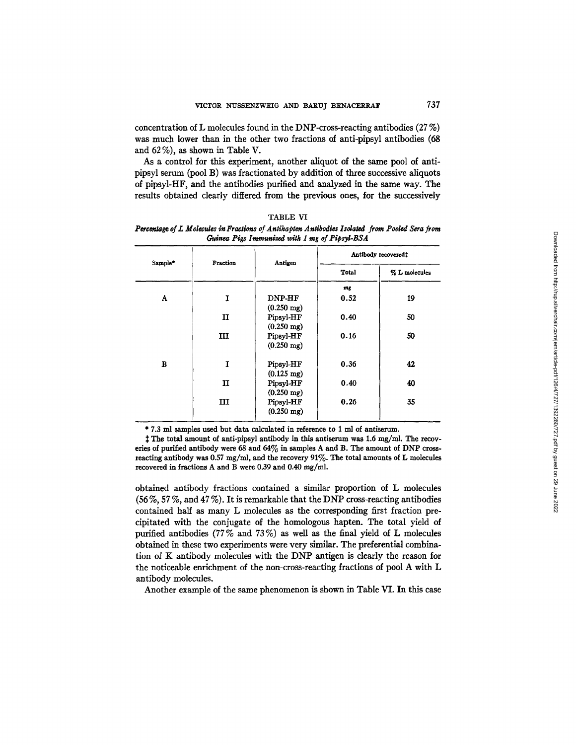concentration of L molecules found in the DNP-cross-reacting antibodies (27 %) was much lower than in the other two fractions of anti-pipsyl antibodies (68 and 62 %), as shown in Table V.

As a control for this experiment, another aliquot of the same pool of antipipsyl serum (pool B) was fractionated by addition of three successive aliquots of pipsyl-HF, and the antibodies purified and analyzed in the same way. The results obtained dearly differed from the previous ones, for the successively

|         | Fraction | Antigen                               | Antibody recovered: |               |
|---------|----------|---------------------------------------|---------------------|---------------|
| Sample* |          |                                       | Total               | % L molecules |
|         |          |                                       | $m_{\mathcal{E}}$   |               |
| A       | I        | <b>DNP-HF</b><br>$(0.250 \text{ mg})$ | 0.52                | 19            |
|         | п        | Pipsyl-HF<br>$(0.250 \text{ mg})$     | 0.40                | 50            |
|         | ш        | Pipsyl-HF<br>$(0.250 \text{ mg})$     | 0.16                | 50            |
| в       | I        | Pipsyl-HF<br>$(0.125 \text{ mg})$     | 0.36                | 42            |
|         | п        | Pipsyl-HF<br>$(0.250 \text{ mg})$     | 0.40                | 40            |
|         | ш        | Pipsyl-HF<br>$(0.250 \text{ mg})$     | 0.26                | 35            |

TABLE VI

**Percentage of L Molecules in Fractions of Antihapten Antibodies Isolated from Pooled Sera from** Guinea Pigs Immunized with 1 mg of Pipsyl-BSA

\* 7.3 ml samples used but data calculated in reference to 1 ml of antiserum.

The total amount of anti-pipsy] antibody in this antiserum was 1.6 mg/mL The recoveries of purified antibody were 68 and  $64\%$  in samples A and B. The amount of DNP crossreacting antibody was 0.57 mg/ml, and the recovery 91%. The total amounts of L molecules recovered in fractions A and B were 0.39 and 0.40 mg/ml.

obtained antibody fractions contained a similar proportion of L molecules (56 %, 57 %, and 47 %). It is remarkable that the DNP cross-reacting antibodies contained half as many L molecules as the corresponding first fraction precipitated with the conjugate of the homologous hapten. The total yield of purified antibodies (77% and 73%) as well as the final yield of  $L$  molecules obtained in these two experiments were very similar. The preferential combination of K antibody molecules with the DNP antigen is clearly the reason for the noticeable enrichment of the non-cross-reacting fractions of pool A with L antibody molecules.

Another example of the same phenomenon is shown in Table VI. In this case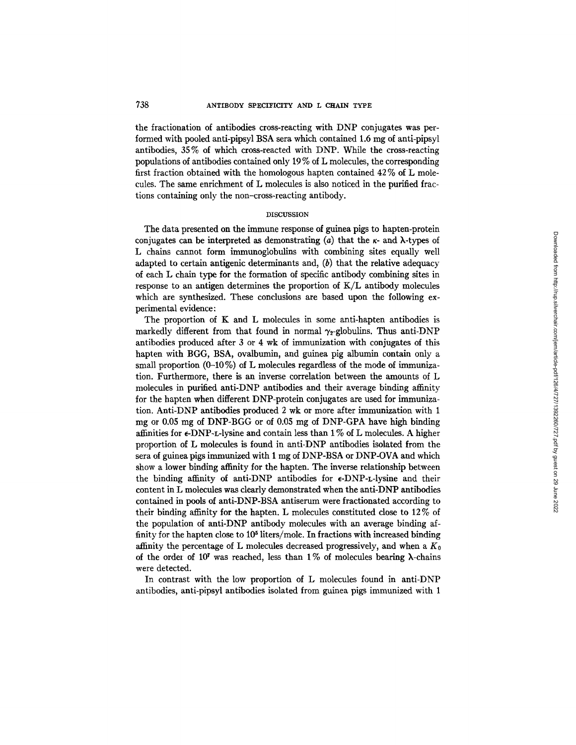the fractionation of antibodies cross-reacting with DNP conjugates was performed with pooled anti-pipsyl BSA sera which contained 1.6 mg of anti-pipsyl antibodies, 35% of which cross-reacted with DNP. While the cross-reacting populations of antibodies contained only 19 % of L molecules, the corresponding first fraction obtained with the homologous hapten contained 42 % of L molecules. The same enrichment of L molecules is also noticed in the purified fractions containing only the non-cross-reacting antibody.

#### DISCUSSION

The data presented on the immune response of guinea pigs to hapten-protein conjugates can be interpreted as demonstrating (a) that the  $\kappa$ - and  $\lambda$ -types of L chains cannot form immunoglobulins with combining sites equally well adapted to certain antigenic determinants and,  $(b)$  that the relative adequacy of each L chain type for the formation of specific antibody combining sites in response to an antigen determines the proportion of *K/L* antibody molecules which are synthesized. These conclusions are based upon the following experimental evidence:

The proportion of  $K$  and  $L$  molecules in some anti-hapten antibodies is markedly different from that found in normal  $\gamma_2$ -globulins. Thus anti-DNP antibodies produced after 3 or 4 wk of immunization with conjugates of this hapten with BGG, BSA, ovalbumin, and guinea pig albumin contain only a small proportion  $(0-10\%)$  of L molecules regardless of the mode of immunization. Furthermore, there is an inverse correlation between the amounts of L molecules in purified anti-DNP antibodies and their average binding affinity for the hapten when different DNP-protein conjugates are used for immunization. Anfi-DNP antibodies produced 2 wk or more after immunization with 1 mg or 0.05 mg of DNP-BGG or of 0.05 mg of DNP-GPA have high binding affinities for  $\epsilon$ -DNP-L-lysine and contain less than 1% of L molecules. A higher proportion of L molecules is found in anti-I)NP antibodies isolated from the sera of guinea pigs immunized with 1 mg of DNP-BSA or DNP-OVA and which show a lower binding affinity for the hapten. The inverse relationship between the binding affinity of anti-DNP antibodies for  $\epsilon$ -DNP-L-lysine and their content in L molecules was clearly demonstrated when the anti-DNP antibodies contained in pools of anti-DNP-BSA antiserum were fractionated according to their binding affinity for the hapten. L molecules constituted close to 12 % of the population of anti-DNP antibody molecules with an average binding affinity for the hapten close to  $10<sup>5</sup>$  liters/mole. In fractions with increased binding affinity the percentage of L molecules decreased progressively, and when a  $K_0$ of the order of 10<sup>7</sup> was reached, less than 1% of molecules bearing  $\lambda$ -chains were detected.

In contrast with the low proportion of L molecules found in anti-DNP antibodies, anti-pipsyl antibodies isolated from guinea pigs immunized with 1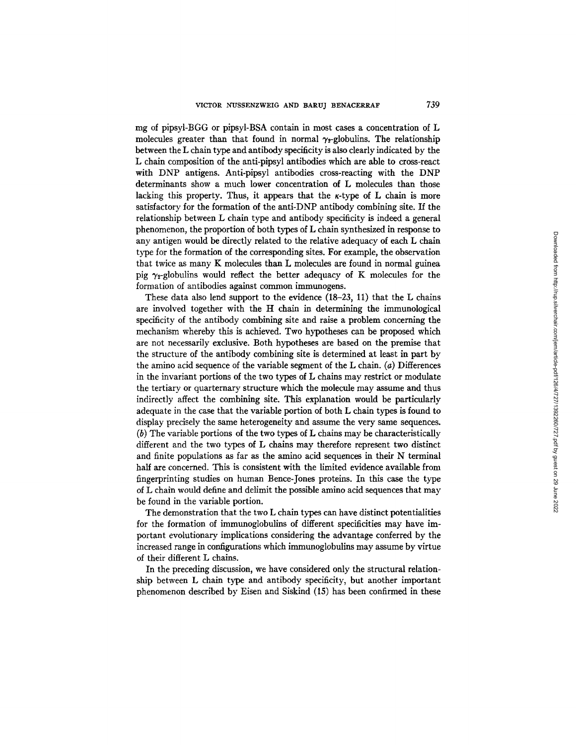mg of pipsyl-BGG or pipsyl-BSA contain in most cases a concentration of L molecules greater than that found in normal  $\gamma_{2}$ -globulins. The relationship between the L chain type and antibody specificity is also clearly indicated by the L chain composition of the anti-pipsyl antibodies which are able to cross-react with DNP antigens. Anti-pipsyl antibodies cross-reacting with the DNP determinants show a much lower concentration of L molecules than those lacking this property. Thus, it appears that the  $\kappa$ -type of L chain is more satisfactory for the formation of the anti-DNP antibody combining site. If the relationship between L chain type and antibody specificity is indeed a general phenomenon, the proportion of both types of L chain synthesized in response to any antigen would be directly related to the relative adequacy of each L chain type for the formation of the corresponding sites. For example, the observation that twice as many K molecules than L molecules are found in normal guinea pig  $\gamma_2$ -globulins would reflect the better adequacy of K molecules for the formation of antibodies against common immunogens.

These data also lend support to the evidence (18-23, 11) that the L chains are involved together with the H chain in determining the immunological specificity of the antibody combining site and raise a problem concerning the mechanism whereby this is achieved. Two hypotheses can be proposed which are not necessarily exclusive. Both hypotheses are based on the premise that the structure of the antibody combining site is determined at least in part by the amino acid sequence of the variable segment of the  $L$  chain.  $(a)$  Differences in the invariant portions of the two types of L chains may restrict or modulate the tertiary or quarternary structure which the molecule may assume and thus indirectly affect the combining site. This explanation would be particularly adequate in the case that the variable portion of both L chain types is found to display precisely the same heterogeneity and assume the very same sequences. (b) The variable portions of the two types of L chains may be characteristically different and the two types of L chains may therefore represent two distinct and finite populations as far as the amino acid sequences in their N terminal half are concerned. This is consistent with the limited evidence available from fingerprinting studies on human Bence-Jones proteins. In this case the type of L chain would define and delimit the possible amino acid sequences that may be found in the variable portion.

The demonstration that the two L chain types can have distinct potentialities for the formation of immunoglobulins of different specificities may have important evolutionary implications considering the advantage conferred by the increased range in configurations which immunoglobulins may assume by virtue of their different L chains.

In the preceding discussion, we have considered only the structural relationship between L chain type and antibody specificity, but another important phenomenon described by Eisen and Siskind (15) has been confirmed in these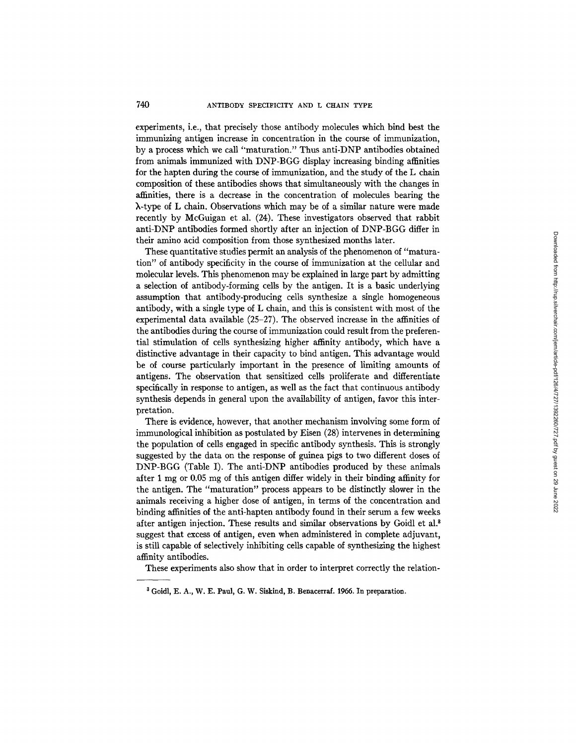experiments, i.e., that precisely those antibody molecules which bind best the immunizing antigen increase in concentration in the course of immunization, by a process which we call "maturation." Thus anti-DNP antibodies obtained from animals immunized with DNP-BGG display increasing binding affinities for the hapten during the course of immunization, and the study of the L chain composition of these antibodies shows that simultaneously with the changes in affinities, there is a decrease in the concentration of molecules bearing the k-type of L chain. Observations which may be of a similar nature were made recently by McGuigan et al. (24). These investigators observed that rabbit anti-DNP antibodies formed shortly after an injection of DNP-BGG differ in their amino acid composition from those synthesized months later.

These quantitative studies permit an analysis of the phenomenon *of"* maturation" of antibody specificity in the course of immunization at the cellular and molecular levels. This phenomenon may be explained in large part by admitting a selection of antibody-forming cells by the antigen. It is a basic underlying assumption that antibody-producing cells synthesize a single homogeneous antibody, with a single type of L chain, and this is consistent with most of the experimental data available (25-27). The observed increase in the affinities of the antibodies during the course of immunization could result from the preferential stimulation of cells synthesizing higher affinity antibody, which have a distinctive advantage in their capacity to bind antigen. This advantage would be of course particularly important in the presence of limiting amounts of antigens. The observation that sensitized cells proliferate and differentiate specifically in response to antigen, as well as the fact that continuous antibody synthesis depends in general upon the availability of antigen, favor this interpretation.

There is evidence, however, that another mechanism involving some form of immunological inhibition as postulated by Eisen (28) intervenes in determining the population of cells engaged in specific antibody synthesis. This is strongly suggested by the data on the response of guinea pigs to two different doses of DNP-BGG (Table I). The anti-DNP antibodies produced by these animals after 1 mg or 0.05 mg of this antigen differ widely in their binding affinity for the antigen. The "maturation" process appears to be distinctly slower in the animals receiving a higher dose of antigen, in terms of the concentration and binding affinities of the anti-hapten antibody found in their serum a few weeks after antigen injection. These results and similar observations by Goidl et al.<sup>8</sup> suggest that excess of antigen, even when administered in complete adjuvant, is still capable of selectively inhibiting cells capable of synthesizing the highest affinity antibodies.

These experiments also show that in order to interpret correctly the relation-

<sup>3</sup> Goidl, E. A., W. E. Paul, G. W. Siskind, B. Benacerraf. 1966. In preparation.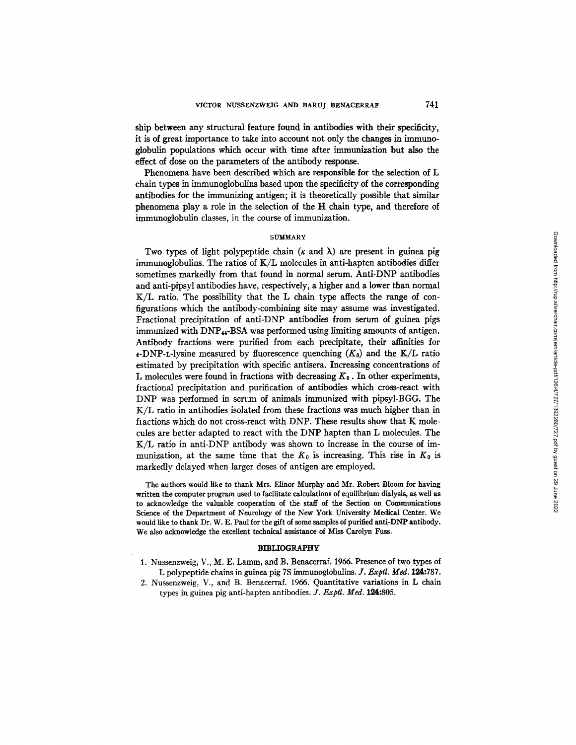ship between any structural feature found in antibodies with their specificity, it is of great importance to take into account not only the changes in immunoglobulin populations which occur with time after immunization but also the effect of dose on the parameters of the antibody response.

Phenomena have been described which are responsible for the selection of L chain types in immunoglobulins based upon the specificity of the corresponding antibodies for the immunizing antigen; it is theoretically possible that similar phenomena play a role in the selection of the H chain type, and therefore of immunoglobulin classes, in the course of immunization.

### **SUMMARY**

Two types of light polypeptide chain ( $\kappa$  and  $\lambda$ ) are present in guinea pig immunogtobulins. The ratios of *K/L* molecules in anti-hapten antibodies differ sometimes markedly from that found in normal serum. Anti-DNP antibodies and anti-pipsyl antibodies have, respectively, a higher and a lower than normal K/L ratio. The possibility that the L chain type affects the range of configurations which the antibody-combining site may assume was investigated. Fractional precipitation of anti-DNP antibodies from serum of guinea pigs immunized with DNP<sub>44</sub>-BSA was performed using limiting amounts of antigen. Antibody fractions were purified from each precipitate, their affinities for  $\epsilon$ -DNP-L-lysine measured by fluorescence quenching  $(K_0)$  and the  $K/L$  ratio estimated by precipitation with specific antisera. Increasing concentrations of L molecules were found in fractions with decreasing  $K_0$ . In other experiments, fractional precipitation and purification of antibodies which cross-react with DNP was performed in serum of animals immunized with pipsyl-BGG. The *K/L* ratio in antibodies isolated from these fractions was much higher than in fiactions which do not cross-react with DNP. These results show that K molecules are better adapted to react with the DNP hapten than L molecules. The K/L ratio in anti-DNP antibody was shown to increase in the course of immunization, at the same time that the  $K_0$  is increasing. This rise in  $K_0$  is markedly delayed when larger doses of antigen are employed.

The authors would like to thank Mrs. Elinor Murphy and Mr. Robert Bloom for having written the computer program used to facilitate calculations of equilibrium dialysis, as well as to acknowledge the valuable cooperation of the staff of the Section on Communications Science of the Department of Neurology of the New York University Medical Center. We would like to thank Dr. W. E. Paul for the gift of some samples of purified anti-DNP antibody. We also acknowledge the excellent technical assistance of Miss Carolyn Fuss.

### BIBLIOGRAPHY

- 1. Nussenzweig, V., M. E. Lamm, and B. Benacerraf. 1955. Presence of two types of L polypeptide chains in guinea pig 7S immunoglobulins. *J. Exptl. Med.* 124:787.
- 2. Nussenzweig, V., and B. Benacerraf. 1966. Quantitative variations in L chain types in guinea pig anti-hapten antibodies. *J. Exptl. Med.* 124:805.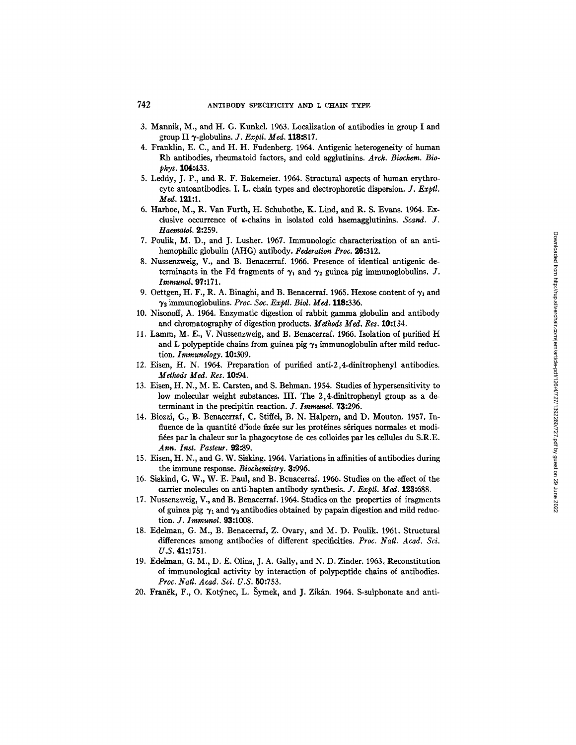- 3. Mannik, M., and H. G. Kunkel. 1963. Localization of antibodies in group I and group II 3"-globulins. *J. Exptl. Med.* 118:817.
- 4. Franklin, E. C., and H. H. Fudenberg. 1964. Antigenic heterogeneity of human Rh antibodies, rheumatoid factors, and cold agglutinins. *Arch. Biochem. BIOphys.* 104:433.
- 5. Leddy, J. P., and R. F. Bakemeier. 1964. Structural aspects of human erythrocyte autoantibodies. I. L. chain types and electrophoretic dispersion. *J. Exptl.*  Med. 121:1.
- 6. Harboe, M., R. Van Furth, H. Schubothe, K. Lind, and R. S. Evans. 1964. Exclusive occurrence of *K*-chains in isolated cold haemagglutinins. *Scand. J. Haematol.* 2:259.
- 7. Poulik, M. D., and J. Lusher. 1967. Immunologic characterization of an antihemophilic globulin (AHG) antibody. *Federation Proc.* 26:312.
- 8. Nussenzweig, V., and B. Benacerraf. 1966. Presence of identical antigenic determinants in the Fd fragments of  $\gamma_1$  and  $\gamma_2$  guinea pig immunoglobulins. J. *Immunol.* 97:171.
- 9. Oettgen, H. F., R. A. Binaghi, and B. Benacerraf. 1965. Hexose content of  $\gamma_1$  and 72 immunoglobulins. *Proc. Soc. Exptl. Biol. Med.* 118:336.
- 10. Nisonofl, A. 1964. Enzymatic digestion of rabbit gamma globulin and antibody and chromatography of digestion products. *Methods Med. Res.* 10:134.
- 11. Lamm, M. E., V. Nussenzweig, and B. Benacerraf. 1966. Isolation of purified H and L polypeptide chains from guinea pig  $\gamma_2$  immunoglobulin after mild reduction. *Immunology.* 10:309.
- 12. Eisen, H. N. 1964. Preparation of purified anti-2,4-dinitrophenyl antibodies. *Methods Meal. Res.* 10:94.
- 13. Eisen, H. N., M. E. Carsten, and S. Behman. 1954. Studies of hypersensitivity to low molecular weight substances. III. The 2,4-dinitrophenyl group as a determinant in the precipitin reaction. *J. Immunol.* 73:296.
- 14. Biozzi, G., B. Benacerraf, C. Stiffel, B. N. tialpern, and D. Mouton. 1957. Influence de la quantité d'iode fixée sur les protéines sériques normales et moditiées par la chaleur sur la phagocytose de ces colloides par les cellules du S.R.E. *Ann. Inst. Pasteur.* 92:89.
- 15. Eisen, H. N., and G. W. Sisking. 1964. Variations in affinities of antibodies during the immune response. *Biochemistry.* 3:996.
- 16. Siskind, G. W., W. E. Paul, and B. Benacerraf. 1966. Studies on the effect of the carrier molecules on anti-hapten antibody synthesis. *J. Exptl. Med.* 123:688.
- 17. Nussenzweig, V., and B. Benacerraf. 1964. Studies on the properties of fragments of guinea pig  $\gamma_1$  and  $\gamma_2$  antibodies obtained by papain digestion and mild reduction. *J. lmmunol.* 93:1008.
- 18. Edelman, G. M., B. Benacerraf, Z. Ovary, and M. D. Poulik. 1961. Structural differences among antibodies of different specificities. *Proc. Natl. Acad. Sci. U.S.* 41:1751.
- 19. Edelman, G. M., D. E. Olins, J. A. Gaily, and N. D. Zinder. 1963. Reconstitution of immunological activity by interaction of polypeptide chains of antibodies. *Proc. Natl. Acad. Sd. U.S.* 50:753.
- 20. Franěk, F., O. Kotýnec, L. Šymek, and J. Zikán. 1964. S-sulphonate and anti-